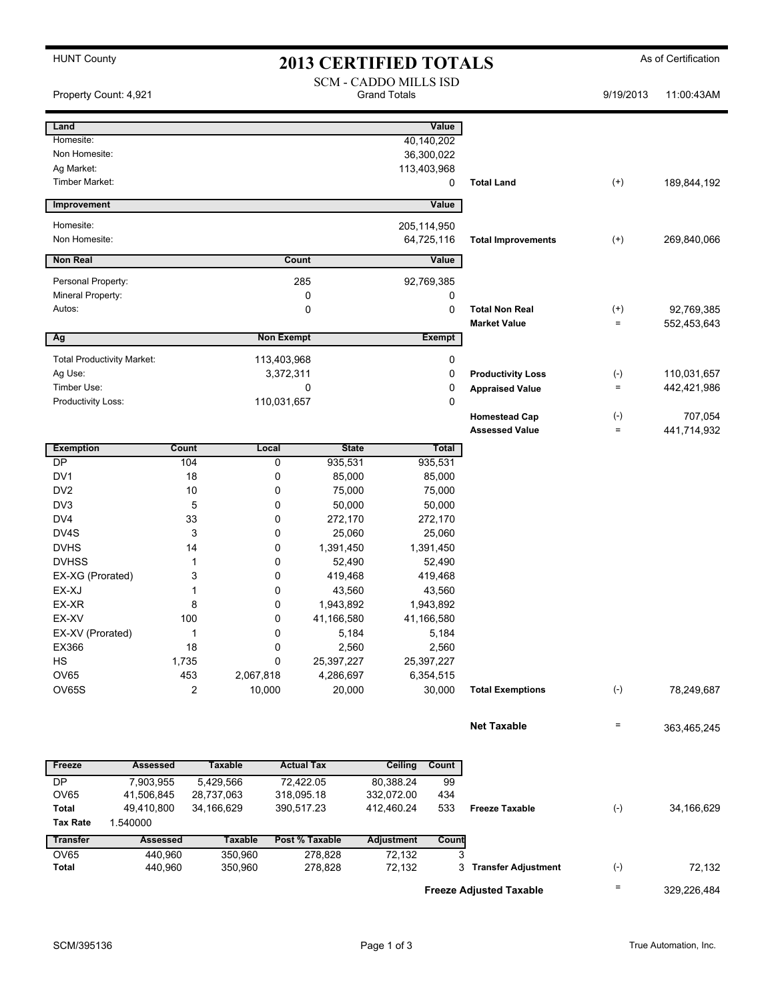| <b>HUNT County</b><br><b>2013 CERTIFIED TOTALS</b> |                        |                              |                             |                     |                          |                                               | As of Certification |             |  |
|----------------------------------------------------|------------------------|------------------------------|-----------------------------|---------------------|--------------------------|-----------------------------------------------|---------------------|-------------|--|
|                                                    |                        | <b>SCM - CADDO MILLS ISD</b> |                             |                     |                          |                                               |                     |             |  |
| Property Count: 4,921                              |                        |                              |                             | <b>Grand Totals</b> |                          |                                               | 9/19/2013           | 11:00:43AM  |  |
|                                                    |                        |                              |                             |                     |                          |                                               |                     |             |  |
| Land                                               |                        |                              |                             |                     | Value                    |                                               |                     |             |  |
| Homesite:                                          |                        |                              |                             |                     | 40,140,202               |                                               |                     |             |  |
| Non Homesite:                                      |                        |                              |                             |                     | 36,300,022               |                                               |                     |             |  |
| Ag Market:                                         |                        |                              |                             |                     | 113,403,968              |                                               |                     |             |  |
| Timber Market:                                     |                        |                              |                             |                     | 0                        | <b>Total Land</b>                             | $^{(+)}$            | 189,844,192 |  |
| Improvement                                        |                        |                              |                             |                     | Value                    |                                               |                     |             |  |
| Homesite:                                          |                        |                              |                             |                     | 205,114,950              |                                               |                     |             |  |
| Non Homesite:                                      |                        |                              |                             |                     | 64,725,116               | <b>Total Improvements</b>                     | $^{(+)}$            | 269,840,066 |  |
|                                                    |                        |                              |                             |                     |                          |                                               |                     |             |  |
| <b>Non Real</b>                                    |                        |                              | Count                       |                     | Value                    |                                               |                     |             |  |
| Personal Property:                                 |                        |                              |                             | 92,769,385          |                          |                                               |                     |             |  |
| Mineral Property:                                  |                        |                              |                             | 0                   |                          |                                               |                     |             |  |
| Autos:                                             |                        |                              | 0                           |                     | 0                        | <b>Total Non Real</b>                         | $^{(+)}$            | 92,769,385  |  |
| Ag                                                 |                        |                              |                             | <b>Market Value</b> |                          |                                               | $=$                 | 552,453,643 |  |
|                                                    |                        |                              | <b>Non Exempt</b>           |                     | <b>Exempt</b>            |                                               |                     |             |  |
| <b>Total Productivity Market:</b>                  |                        |                              | 113,403,968<br>3,372,311    |                     | 0                        |                                               |                     |             |  |
| Ag Use:                                            |                        |                              |                             | 0                   | <b>Productivity Loss</b> | $(-)$                                         | 110,031,657         |             |  |
| Timber Use:<br>Productivity Loss:                  |                        |                              | 0                           |                     | 0<br>0                   | <b>Appraised Value</b>                        | $\equiv$            | 442,421,986 |  |
|                                                    |                        |                              | 110,031,657                 |                     |                          |                                               | $(-)$               | 707,054     |  |
|                                                    |                        |                              |                             |                     |                          | <b>Homestead Cap</b><br><b>Assessed Value</b> | $=$                 | 441,714,932 |  |
|                                                    |                        |                              |                             |                     |                          |                                               |                     |             |  |
| <b>Exemption</b><br><b>DP</b>                      | <b>Count</b>           | Local<br>104                 | <b>State</b>                |                     | Total                    |                                               |                     |             |  |
| DV1                                                |                        | 18                           | 935,531<br>0<br>0<br>85,000 |                     | 935,531<br>85,000        |                                               |                     |             |  |
| DV <sub>2</sub>                                    |                        | 10                           | 0<br>75,000                 |                     | 75,000                   |                                               |                     |             |  |
| DV3                                                |                        | 5                            | 0<br>50,000                 |                     | 50,000                   |                                               |                     |             |  |
| DV4                                                |                        | 33                           | 0<br>272,170                |                     | 272,170                  |                                               |                     |             |  |
| DV4S                                               |                        | 3                            | 0<br>25,060                 |                     | 25,060                   |                                               |                     |             |  |
| <b>DVHS</b>                                        |                        | 14                           | 0<br>1,391,450              |                     | 1,391,450                |                                               |                     |             |  |
| <b>DVHSS</b>                                       |                        | $\mathbf 1$                  | 0<br>52,490                 |                     | 52,490                   |                                               |                     |             |  |
| EX-XG (Prorated)                                   |                        | 3                            | 0<br>419,468                |                     | 419,468                  |                                               |                     |             |  |
| EX-XJ                                              |                        | 1                            | 0<br>43,560                 |                     | 43,560                   |                                               |                     |             |  |
| EX-XR                                              | 8                      |                              | 0<br>1,943,892              | 1,943,892           |                          |                                               |                     |             |  |
| EX-XV                                              | 100                    |                              | 41,166,580<br>0             | 41,166,580          |                          |                                               |                     |             |  |
|                                                    | EX-XV (Prorated)<br>1  |                              | 0<br>5,184                  |                     | 5,184                    |                                               |                     |             |  |
| EX366<br>18                                        |                        |                              | 2,560<br>0                  | 2,560               |                          |                                               |                     |             |  |
| HS                                                 | 1,735                  |                              | 0<br>25,397,227             |                     | 25,397,227               |                                               |                     |             |  |
| OV65                                               |                        | 453<br>2,067,818             | 4,286,697                   |                     | 6,354,515                |                                               |                     |             |  |
| OV65S                                              |                        | 2<br>10,000                  | 20,000                      |                     | 30,000                   | <b>Total Exemptions</b>                       | $(-)$               | 78,249,687  |  |
|                                                    |                        |                              |                             |                     |                          |                                               |                     |             |  |
|                                                    |                        |                              |                             |                     |                          | <b>Net Taxable</b>                            | $=$                 | 363,465,245 |  |
|                                                    |                        |                              |                             |                     |                          |                                               |                     |             |  |
| Freeze                                             | <b>Assessed</b>        | <b>Taxable</b>               | <b>Actual Tax</b>           | Ceiling             | Count                    |                                               |                     |             |  |
| DP                                                 | 7,903,955              | 5,429,566                    | 72,422.05                   | 80,388.24           | 99                       |                                               |                     |             |  |
| <b>OV65</b>                                        | 41,506,845             | 28,737,063                   | 318,095.18                  | 332,072.00          | 434                      |                                               |                     |             |  |
| Total<br><b>Tax Rate</b>                           | 49,410,800<br>1.540000 | 34,166,629                   | 390,517.23                  | 412,460.24          | 533                      | <b>Freeze Taxable</b>                         | $(-)$               | 34,166,629  |  |
| <b>Transfer</b>                                    | <b>Assessed</b>        | <b>Taxable</b>               | Post % Taxable              | <b>Adjustment</b>   | Count                    |                                               |                     |             |  |
| <b>OV65</b>                                        | 440,960                | 350,960                      | 278,828                     | 72,132              | 3                        |                                               |                     |             |  |
| <b>Total</b>                                       | 440,960                | 350,960                      | 278,828                     | 72,132              |                          | 3 Transfer Adjustment                         | $(\text{-})$        | 72,132      |  |
|                                                    |                        |                              |                             |                     |                          |                                               |                     |             |  |
| <b>Freeze Adjusted Taxable</b>                     |                        |                              |                             |                     |                          |                                               | Ξ                   | 329,226,484 |  |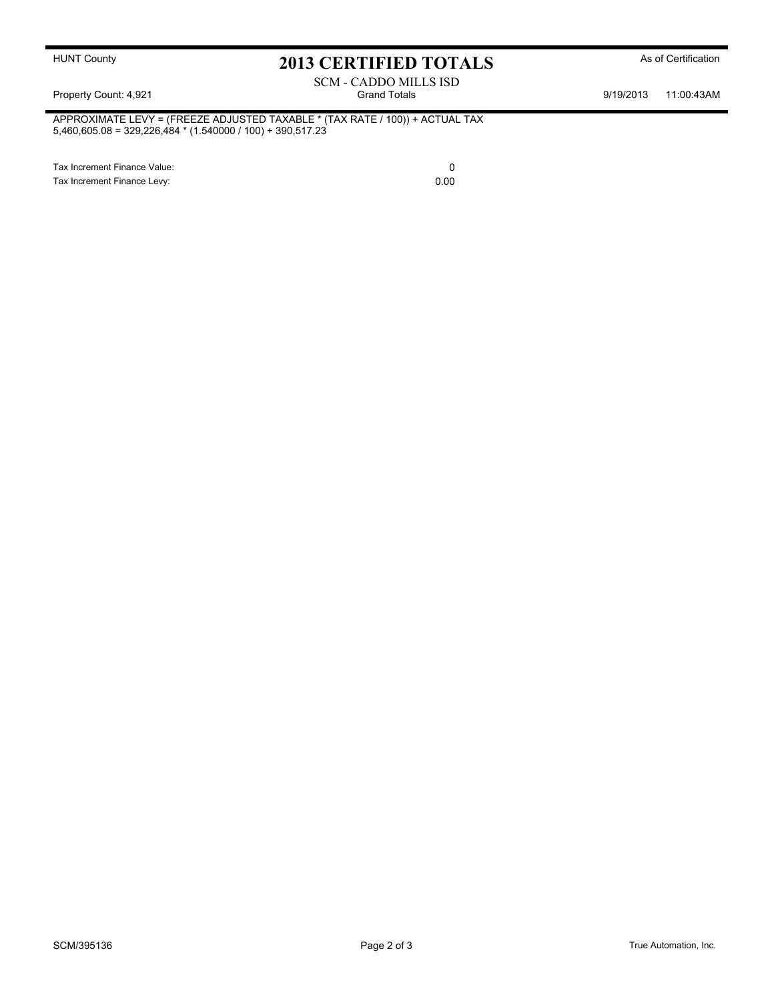# HUNT County **As of Certification 2013 CERTIFIED TOTALS** As of Certification

## SCM - CADDO MILLS ISD Property Count: 4,921 **Property Count: 4,921** Crand Totals **9/19/2013** 11:00:43AM

APPROXIMATE LEVY = (FREEZE ADJUSTED TAXABLE \* (TAX RATE / 100)) + ACTUAL TAX 5,460,605.08 = 329,226,484 \* (1.540000 / 100) + 390,517.23

Tax Increment Finance Value: 0 Tax Increment Finance Levy: 0.00